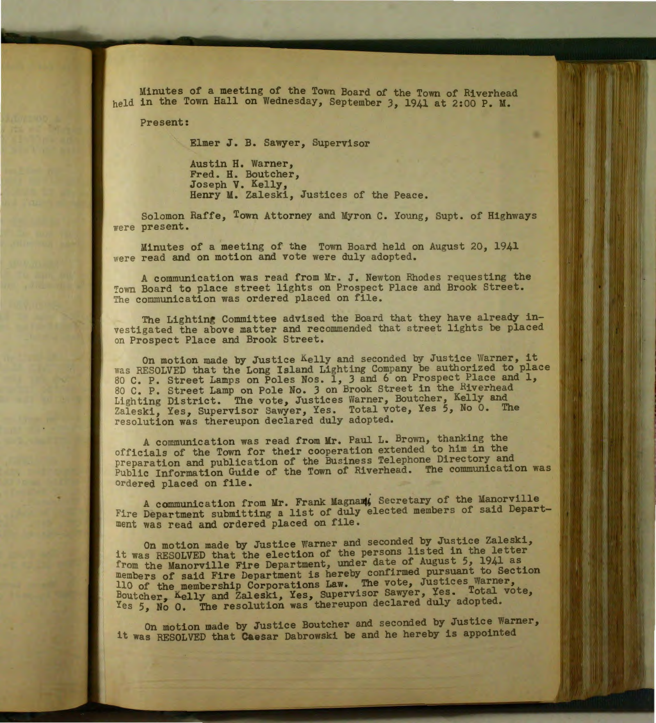Minutes of a meeting of the Town Board of the Town of Riverhead held in the Town Hall on Wednesday, September 3, 1941 at 2:00 P. M.

Present:

Elmer J. B. Sawyer, Supervisor

Austin H. Warner, Fred. H. Boutcher, Joseph V. Kelly, Henry M. Zaleski, Justices of the Peace.

Solomon Raffe, Town Attorney and Myron C. Young, Supt. of Highways were present.

Minutes of a meeting of the Town Board held on August 20, 1941 were read and on motion and vote were duly adopted.

A communication was read from Mr. J. Newton Rhodes requesting the Town Board to place street lights on Prospect Place and Brook Street. The conmunication was ordered placed on file.

The Lighting Committee advised the Board that they have already investigated the above matter and recommended that street lights be placed on Prospect Place and Brook Street.

On motion made by Justice Kelly and seconded by Justice Warner, it was RESOLVED that the Long Island Lighting Company be authorized to place was RESOLVED that the Long Island Lighting Company be authorized to place 80 C. P. Street Lamps on Poles Nos. 1, 3 and 6 on Prospect Place and 1, 80 C. P. Street Lamp on Pole No. 3 on Brook Street in the Riverhead Lighting District. The vote, Justices Warner, Boutcher, Kelly and Zaleski, Yes, Supervisor Sawyer, Yes. Total vote, Yes 5, No 0. The resolution was thereupon declared duly adopted.

A communication was read from Mr. Paul L. Brown, thanking the officials of the Town for their cooperation extended to him in the preparation and publication of the Business Telephone Directory and Public Information Guide of the Town of Riverhead. The communication was ordered placed on file.

A communication from Mr. Frank Magnam, Secretary of the Manorville Fire Department submitting a list of duly elected members of said Department was read and ordered placed on file.

On motion made by Justice Warner and seconded by Justice Zaleski, it was RESOLVED that the election of the persons listed in the letter from the Manorville Fire Department, under date of August 5, 1941 as members of said Fire Department is hereby confirmed pursuant to Section 110 of the membership Corporations Law. The vote, Justices Warner, Boutcher, Kelly and Zaleski, Yes, Supervisor Sawyer, Yes. Total vote, Yes 5, No 0. The resolution was thereupon declared duly adopted.

On motion made by Justice Boutcher and seconded by Justice Warner, it was RESOLVED that Caesar Dabrowski be and he hereby is appointed